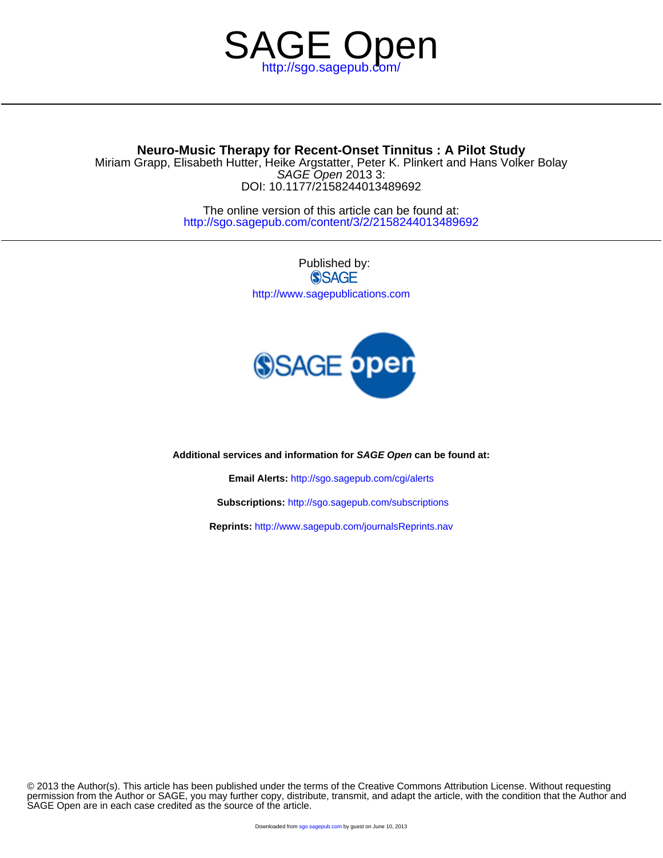

# DOI: 10.1177/2158244013489692 SAGE Open 2013 3: Miriam Grapp, Elisabeth Hutter, Heike Argstatter, Peter K. Plinkert and Hans Volker Bolay **Neuro-Music Therapy for Recent-Onset Tinnitus : A Pilot Study**

<http://sgo.sagepub.com/content/3/2/2158244013489692> The online version of this article can be found at:

> Published by:<br>
> SAGF <http://www.sagepublications.com>



**Additional services and information for SAGE Open can be found at:**

**Email Alerts:** <http://sgo.sagepub.com/cgi/alerts>

**Subscriptions:** <http://sgo.sagepub.com/subscriptions>

**Reprints:** <http://www.sagepub.com/journalsReprints.nav>

SAGE Open are in each case credited as the source of the article. permission from the Author or SAGE, you may further copy, distribute, transmit, and adapt the article, with the condition that the Author and © 2013 the Author(s). This article has been published under the terms of the Creative Commons Attribution License. Without requesting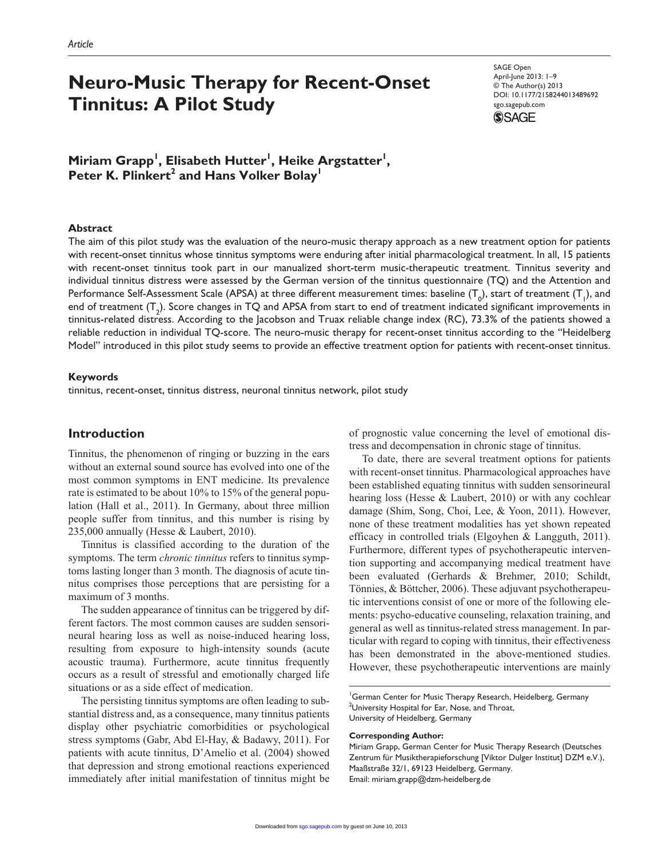# **Neuro-Music Therapy for Recent-Onset Tinnitus: A Pilot Study**

SAGE Open April-June 2013: 1–9 © The Author(s) 2013 DOI: 10.1177/2158244013489692 sgo.sagepub.com



Miriam Grapp<sup>1</sup>, Elisabeth Hutter<sup>1</sup>, Heike Argstatter<sup>1</sup>, Peter K. Plinkert<sup>2</sup> and Hans Volker Bolay<sup>1</sup>

#### **Abstract**

The aim of this pilot study was the evaluation of the neuro-music therapy approach as a new treatment option for patients with recent-onset tinnitus whose tinnitus symptoms were enduring after initial pharmacological treatment. In all, 15 patients with recent-onset tinnitus took part in our manualized short-term music-therapeutic treatment. Tinnitus severity and individual tinnitus distress were assessed by the German version of the tinnitus questionnaire (TQ) and the Attention and Performance Self-Assessment Scale (APSA) at three different measurement times: baseline  $(T_0)$ , start of treatment  $(T_1)$ , and end of treatment  $(T_2)$ . Score changes in TQ and APSA from start to end of treatment indicated significant improvements in tinnitus-related distress. According to the Jacobson and Truax reliable change index (RC), 73.3% of the patients showed a reliable reduction in individual TQ-score. The neuro-music therapy for recent-onset tinnitus according to the "Heidelberg Model" introduced in this pilot study seems to provide an effective treatment option for patients with recent-onset tinnitus.

#### **Keywords**

tinnitus, recent-onset, tinnitus distress, neuronal tinnitus network, pilot study

## **Introduction**

Tinnitus, the phenomenon of ringing or buzzing in the ears without an external sound source has evolved into one of the most common symptoms in ENT medicine. Its prevalence rate is estimated to be about 10% to 15% of the general population (Hall et al., 2011). In Germany, about three million people suffer from tinnitus, and this number is rising by 235,000 annually (Hesse & Laubert, 2010).

Tinnitus is classified according to the duration of the symptoms. The term *chronic tinnitus* refers to tinnitus symptoms lasting longer than 3 month. The diagnosis of acute tinnitus comprises those perceptions that are persisting for a maximum of 3 months.

The sudden appearance of tinnitus can be triggered by different factors. The most common causes are sudden sensorineural hearing loss as well as noise-induced hearing loss, resulting from exposure to high-intensity sounds (acute acoustic trauma). Furthermore, acute tinnitus frequently occurs as a result of stressful and emotionally charged life situations or as a side effect of medication.

The persisting tinnitus symptoms are often leading to substantial distress and, as a consequence, many tinnitus patients display other psychiatric comorbidities or psychological stress symptoms (Gabr, Abd El-Hay, & Badawy, 2011). For patients with acute tinnitus, D'Amelio et al. (2004) showed that depression and strong emotional reactions experienced immediately after initial manifestation of tinnitus might be

of prognostic value concerning the level of emotional distress and decompensation in chronic stage of tinnitus.

To date, there are several treatment options for patients with recent-onset tinnitus. Pharmacological approaches have been established equating tinnitus with sudden sensorineural hearing loss (Hesse & Laubert, 2010) or with any cochlear damage (Shim, Song, Choi, Lee, & Yoon, 2011). However, none of these treatment modalities has yet shown repeated efficacy in controlled trials (Elgoyhen & Langguth, 2011). Furthermore, different types of psychotherapeutic intervention supporting and accompanying medical treatment have been evaluated (Gerhards & Brehmer, 2010; Schildt, Tönnies, & Böttcher, 2006). These adjuvant psychotherapeutic interventions consist of one or more of the following elements: psycho-educative counseling, relaxation training, and general as well as tinnitus-related stress management. In particular with regard to coping with tinnitus, their effectiveness has been demonstrated in the above-mentioned studies. However, these psychotherapeutic interventions are mainly

<sup>1</sup>German Center for Music Therapy Research, Heidelberg, Germany  $^{2}$ University Hospital for Ear, Nose, and Throat, University of Heidelberg, Germany

#### **Corresponding Author:**

Miriam Grapp, German Center for Music Therapy Research (Deutsches Zentrum für Musiktherapieforschung [Viktor Dulger Institut] DZM e.V.), Maaßstraße 32/1, 69123 Heidelberg, Germany. Email: miriam.grapp@dzm-heidelberg.de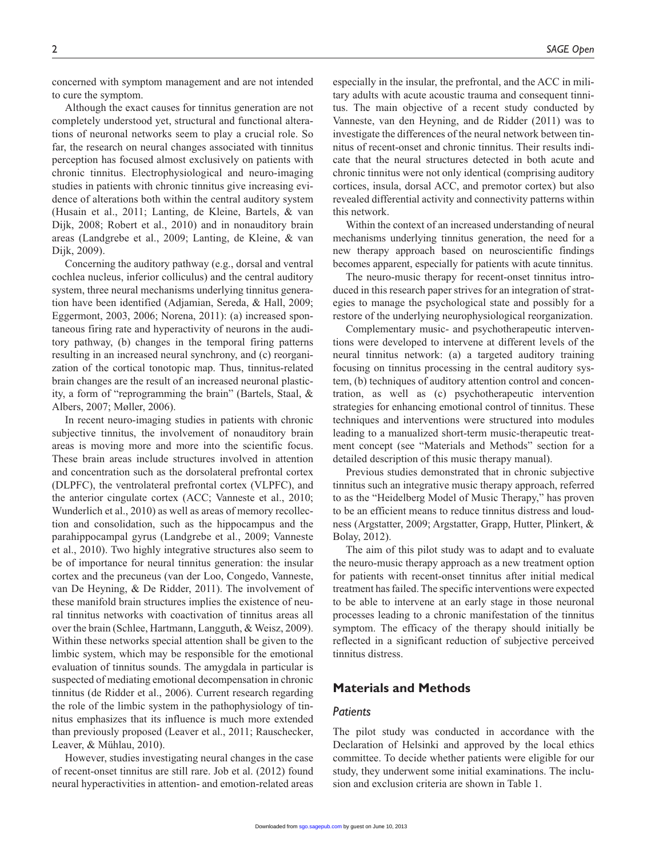concerned with symptom management and are not intended to cure the symptom.

Although the exact causes for tinnitus generation are not completely understood yet, structural and functional alterations of neuronal networks seem to play a crucial role. So far, the research on neural changes associated with tinnitus perception has focused almost exclusively on patients with chronic tinnitus. Electrophysiological and neuro-imaging studies in patients with chronic tinnitus give increasing evidence of alterations both within the central auditory system (Husain et al., 2011; Lanting, de Kleine, Bartels, & van Dijk, 2008; Robert et al., 2010) and in nonauditory brain areas (Landgrebe et al., 2009; Lanting, de Kleine, & van Dijk, 2009).

Concerning the auditory pathway (e.g., dorsal and ventral cochlea nucleus, inferior colliculus) and the central auditory system, three neural mechanisms underlying tinnitus generation have been identified (Adjamian, Sereda, & Hall, 2009; Eggermont, 2003, 2006; Norena, 2011): (a) increased spontaneous firing rate and hyperactivity of neurons in the auditory pathway, (b) changes in the temporal firing patterns resulting in an increased neural synchrony, and (c) reorganization of the cortical tonotopic map. Thus, tinnitus-related brain changes are the result of an increased neuronal plasticity, a form of "reprogramming the brain" (Bartels, Staal, & Albers, 2007; Møller, 2006).

In recent neuro-imaging studies in patients with chronic subjective tinnitus, the involvement of nonauditory brain areas is moving more and more into the scientific focus. These brain areas include structures involved in attention and concentration such as the dorsolateral prefrontal cortex (DLPFC), the ventrolateral prefrontal cortex (VLPFC), and the anterior cingulate cortex (ACC; Vanneste et al., 2010; Wunderlich et al., 2010) as well as areas of memory recollection and consolidation, such as the hippocampus and the parahippocampal gyrus (Landgrebe et al., 2009; Vanneste et al., 2010). Two highly integrative structures also seem to be of importance for neural tinnitus generation: the insular cortex and the precuneus (van der Loo, Congedo, Vanneste, van De Heyning, & De Ridder, 2011). The involvement of these manifold brain structures implies the existence of neural tinnitus networks with coactivation of tinnitus areas all over the brain (Schlee, Hartmann, Langguth, & Weisz, 2009). Within these networks special attention shall be given to the limbic system, which may be responsible for the emotional evaluation of tinnitus sounds. The amygdala in particular is suspected of mediating emotional decompensation in chronic tinnitus (de Ridder et al., 2006). Current research regarding the role of the limbic system in the pathophysiology of tinnitus emphasizes that its influence is much more extended than previously proposed (Leaver et al., 2011; Rauschecker, Leaver, & Mühlau, 2010).

However, studies investigating neural changes in the case of recent-onset tinnitus are still rare. Job et al. (2012) found neural hyperactivities in attention- and emotion-related areas

especially in the insular, the prefrontal, and the ACC in military adults with acute acoustic trauma and consequent tinnitus. The main objective of a recent study conducted by Vanneste, van den Heyning, and de Ridder (2011) was to investigate the differences of the neural network between tinnitus of recent-onset and chronic tinnitus. Their results indicate that the neural structures detected in both acute and chronic tinnitus were not only identical (comprising auditory cortices, insula, dorsal ACC, and premotor cortex) but also revealed differential activity and connectivity patterns within this network.

Within the context of an increased understanding of neural mechanisms underlying tinnitus generation, the need for a new therapy approach based on neuroscientific findings becomes apparent, especially for patients with acute tinnitus.

The neuro-music therapy for recent-onset tinnitus introduced in this research paper strives for an integration of strategies to manage the psychological state and possibly for a restore of the underlying neurophysiological reorganization.

Complementary music- and psychotherapeutic interventions were developed to intervene at different levels of the neural tinnitus network: (a) a targeted auditory training focusing on tinnitus processing in the central auditory system, (b) techniques of auditory attention control and concentration, as well as (c) psychotherapeutic intervention strategies for enhancing emotional control of tinnitus. These techniques and interventions were structured into modules leading to a manualized short-term music-therapeutic treatment concept (see "Materials and Methods" section for a detailed description of this music therapy manual).

Previous studies demonstrated that in chronic subjective tinnitus such an integrative music therapy approach, referred to as the "Heidelberg Model of Music Therapy," has proven to be an efficient means to reduce tinnitus distress and loudness (Argstatter, 2009; Argstatter, Grapp, Hutter, Plinkert, & Bolay, 2012).

The aim of this pilot study was to adapt and to evaluate the neuro-music therapy approach as a new treatment option for patients with recent-onset tinnitus after initial medical treatment has failed. The specific interventions were expected to be able to intervene at an early stage in those neuronal processes leading to a chronic manifestation of the tinnitus symptom. The efficacy of the therapy should initially be reflected in a significant reduction of subjective perceived tinnitus distress.

## **Materials and Methods**

## *Patients*

The pilot study was conducted in accordance with the Declaration of Helsinki and approved by the local ethics committee. To decide whether patients were eligible for our study, they underwent some initial examinations. The inclusion and exclusion criteria are shown in Table 1.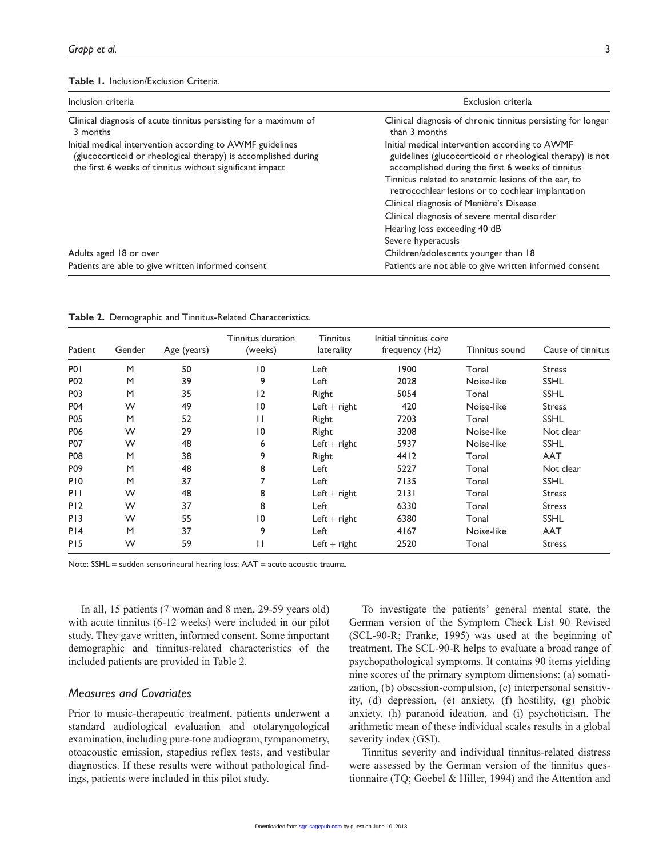#### **Table 1.** Inclusion/Exclusion Criteria.

| Inclusion criteria                                                                                                                                                                      | <b>Exclusion criteria</b>                                                                                                                                        |  |  |  |
|-----------------------------------------------------------------------------------------------------------------------------------------------------------------------------------------|------------------------------------------------------------------------------------------------------------------------------------------------------------------|--|--|--|
| Clinical diagnosis of acute tinnitus persisting for a maximum of<br>3 months                                                                                                            | Clinical diagnosis of chronic tinnitus persisting for longer<br>than 3 months                                                                                    |  |  |  |
| Initial medical intervention according to AWMF guidelines<br>(glucocorticoid or rheological therapy) is accomplished during<br>the first 6 weeks of tinnitus without significant impact | Initial medical intervention according to AWMF<br>guidelines (glucocorticoid or rheological therapy) is not<br>accomplished during the first 6 weeks of tinnitus |  |  |  |
|                                                                                                                                                                                         | Tinnitus related to anatomic lesions of the ear, to<br>retrocochlear lesions or to cochlear implantation                                                         |  |  |  |
|                                                                                                                                                                                         | Clinical diagnosis of Menière's Disease                                                                                                                          |  |  |  |
|                                                                                                                                                                                         | Clinical diagnosis of severe mental disorder                                                                                                                     |  |  |  |
|                                                                                                                                                                                         | Hearing loss exceeding 40 dB                                                                                                                                     |  |  |  |
|                                                                                                                                                                                         | Severe hyperacusis                                                                                                                                               |  |  |  |
| Adults aged 18 or over                                                                                                                                                                  | Children/adolescents younger than 18                                                                                                                             |  |  |  |
| Patients are able to give written informed consent                                                                                                                                      | Patients are not able to give written informed consent                                                                                                           |  |  |  |

| Patient          | Gender | Age (years) | Tinnitus duration<br>(weeks) | <b>Tinnitus</b><br>laterality | Initial tinnitus core<br>frequency (Hz) | Tinnitus sound | Cause of tinnitus |
|------------------|--------|-------------|------------------------------|-------------------------------|-----------------------------------------|----------------|-------------------|
| P <sub>0</sub>   | M      | 50          | $\overline{0}$               | Left                          | 1900                                    | Tonal          | <b>Stress</b>     |
| P <sub>0</sub> 2 | M      | 39          | 9                            | Left                          | 2028                                    | Noise-like     | <b>SSHL</b>       |
| P03              | M      | 35          | 12                           | Right                         | 5054                                    | Tonal          | <b>SSHL</b>       |
| P04              | W      | 49          | $\overline{0}$               | Left $+$ right                | 420                                     | Noise-like     | <b>Stress</b>     |
| <b>P05</b>       | M      | 52          | П                            | Right                         | 7203                                    | Tonal          | <b>SSHL</b>       |
| P06              | W      | 29          | $\overline{0}$               | Right                         | 3208                                    | Noise-like     | Not clear         |
| <b>P07</b>       | W      | 48          | 6                            | Left $+$ right                | 5937                                    | Noise-like     | <b>SSHL</b>       |
| <b>P08</b>       | M      | 38          | 9                            | Right                         | 4412                                    | Tonal          | <b>AAT</b>        |
| P <sub>09</sub>  | M      | 48          | 8                            | Left                          | 5227                                    | Tonal          | Not clear         |
| P <sub>10</sub>  | M      | 37          |                              | Left                          | 7135                                    | Tonal          | <b>SSHL</b>       |
| PII              | W      | 48          | 8                            | $Left + right$                | 2131                                    | Tonal          | <b>Stress</b>     |
| P <sub>12</sub>  | W      | 37          | 8                            | Left                          | 6330                                    | Tonal          | <b>Stress</b>     |
| P <sub>13</sub>  | W      | 55          | 10                           | $Left + right$                | 6380                                    | Tonal          | <b>SSHL</b>       |
| PI4              | M      | 37          | 9                            | Left                          | 4167                                    | Noise-like     | AAT               |
| P <sub>15</sub>  | w      | 59          | П                            | Left $+$ right                | 2520                                    | Tonal          | <b>Stress</b>     |

**Table 2.** Demographic and Tinnitus-Related Characteristics.

Note: SSHL = sudden sensorineural hearing loss; AAT = acute acoustic trauma.

In all, 15 patients (7 woman and 8 men, 29-59 years old) with acute tinnitus (6-12 weeks) were included in our pilot study. They gave written, informed consent. Some important demographic and tinnitus-related characteristics of the included patients are provided in Table 2.

# *Measures and Covariates*

Prior to music-therapeutic treatment, patients underwent a standard audiological evaluation and otolaryngological examination, including pure-tone audiogram, tympanometry, otoacoustic emission, stapedius reflex tests, and vestibular diagnostics. If these results were without pathological findings, patients were included in this pilot study.

To investigate the patients' general mental state, the German version of the Symptom Check List–90–Revised (SCL-90-R; Franke, 1995) was used at the beginning of treatment. The SCL-90-R helps to evaluate a broad range of psychopathological symptoms. It contains 90 items yielding nine scores of the primary symptom dimensions: (a) somatization, (b) obsession-compulsion, (c) interpersonal sensitivity, (d) depression, (e) anxiety, (f) hostility, (g) phobic anxiety, (h) paranoid ideation, and (i) psychoticism. The arithmetic mean of these individual scales results in a global severity index (GSI).

Tinnitus severity and individual tinnitus-related distress were assessed by the German version of the tinnitus questionnaire (TQ; Goebel & Hiller, 1994) and the Attention and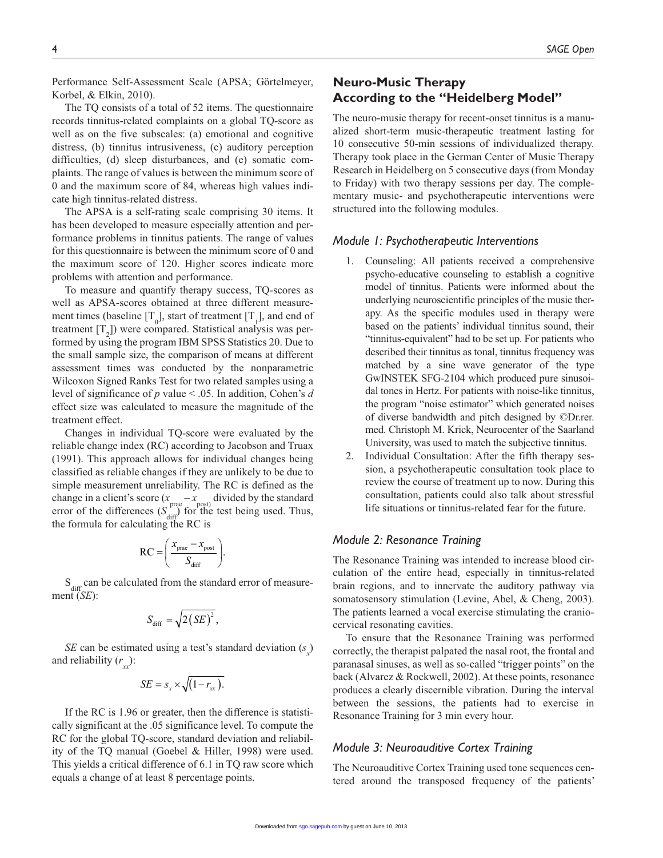Performance Self-Assessment Scale (APSA; Görtelmeyer, Korbel, & Elkin, 2010).

The TQ consists of a total of 52 items. The questionnaire records tinnitus-related complaints on a global TQ-score as well as on the five subscales: (a) emotional and cognitive distress, (b) tinnitus intrusiveness, (c) auditory perception difficulties, (d) sleep disturbances, and (e) somatic complaints. The range of values is between the minimum score of 0 and the maximum score of 84, whereas high values indicate high tinnitus-related distress.

The APSA is a self-rating scale comprising 30 items. It has been developed to measure especially attention and performance problems in tinnitus patients. The range of values for this questionnaire is between the minimum score of 0 and the maximum score of 120. Higher scores indicate more problems with attention and performance.

To measure and quantify therapy success, TQ-scores as well as APSA-scores obtained at three different measurement times (baseline  $[T_0]$ , start of treatment  $[T_1]$ , and end of treatment  $[T_2]$ ) were compared. Statistical analysis was performed by using the program IBM SPSS Statistics 20. Due to the small sample size, the comparison of means at different assessment times was conducted by the nonparametric Wilcoxon Signed Ranks Test for two related samples using a level of significance of *p* value < .05. In addition, Cohen's *d* effect size was calculated to measure the magnitude of the treatment effect.

Changes in individual TQ-score were evaluated by the reliable change index (RC) according to Jacobson and Truax (1991). This approach allows for individual changes being classified as reliable changes if they are unlikely to be due to simple measurement unreliability. The RC is defined as the change in a client's score  $(x_{\text{prae}} - x_{\text{post}})$  divided by the standard error of the differences  $(S_{\text{diff}}^{\text{ref}})$  for the test being used. Thus, the formula for calculating the RC is

$$
RC = \left(\frac{x_{\text{prae}} - x_{\text{post}}}{S_{\text{diff}}}\right).
$$

 $S<sub>diff</sub>$  can be calculated from the standard error of measurement (*SE*):

$$
S_{\text{diff}} = \sqrt{2(SE)^2},
$$

*SE* can be estimated using a test's standard deviation  $(s_x)$ and reliability (*r xx*):

$$
SE = s_x \times \sqrt{(1 - r_{xx})}.
$$

If the RC is 1.96 or greater, then the difference is statistically significant at the .05 significance level. To compute the RC for the global TQ-score, standard deviation and reliability of the TQ manual (Goebel & Hiller, 1998) were used. This yields a critical difference of 6.1 in TQ raw score which equals a change of at least 8 percentage points.

# **Neuro-Music Therapy According to the "Heidelberg Model"**

The neuro-music therapy for recent-onset tinnitus is a manualized short-term music-therapeutic treatment lasting for 10 consecutive 50-min sessions of individualized therapy. Therapy took place in the German Center of Music Therapy Research in Heidelberg on 5 consecutive days (from Monday to Friday) with two therapy sessions per day. The complementary music- and psychotherapeutic interventions were structured into the following modules.

#### *Module 1: Psychotherapeutic Interventions*

- 1. Counseling: All patients received a comprehensive psycho-educative counseling to establish a cognitive model of tinnitus. Patients were informed about the underlying neuroscientific principles of the music therapy. As the specific modules used in therapy were based on the patients' individual tinnitus sound, their "tinnitus-equivalent" had to be set up. For patients who described their tinnitus as tonal, tinnitus frequency was matched by a sine wave generator of the type GwINSTEK SFG-2104 which produced pure sinusoidal tones in Hertz. For patients with noise-like tinnitus, the program "noise estimator" which generated noises of diverse bandwidth and pitch designed by ©Dr.rer. med. Christoph M. Krick, Neurocenter of the Saarland University, was used to match the subjective tinnitus.
- 2. Individual Consultation: After the fifth therapy session, a psychotherapeutic consultation took place to review the course of treatment up to now. During this consultation, patients could also talk about stressful life situations or tinnitus-related fear for the future.

## *Module 2: Resonance Training*

The Resonance Training was intended to increase blood circulation of the entire head, especially in tinnitus-related brain regions, and to innervate the auditory pathway via somatosensory stimulation (Levine, Abel, & Cheng, 2003). The patients learned a vocal exercise stimulating the craniocervical resonating cavities.

To ensure that the Resonance Training was performed correctly, the therapist palpated the nasal root, the frontal and paranasal sinuses, as well as so-called "trigger points" on the back (Alvarez & Rockwell, 2002). At these points, resonance produces a clearly discernible vibration. During the interval between the sessions, the patients had to exercise in Resonance Training for 3 min every hour.

### *Module 3: Neuroauditive Cortex Training*

The Neuroauditive Cortex Training used tone sequences centered around the transposed frequency of the patients'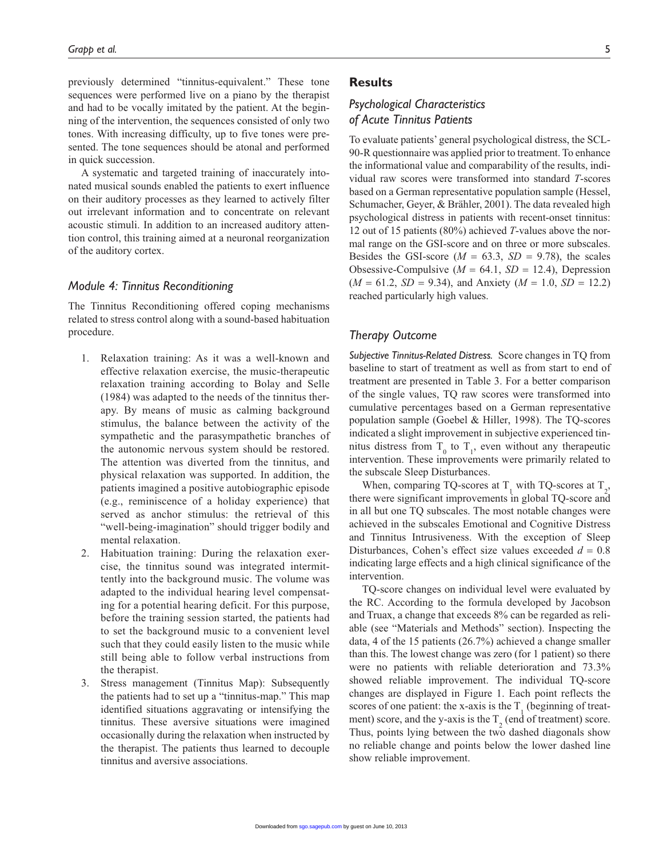previously determined "tinnitus-equivalent." These tone sequences were performed live on a piano by the therapist and had to be vocally imitated by the patient. At the beginning of the intervention, the sequences consisted of only two tones. With increasing difficulty, up to five tones were presented. The tone sequences should be atonal and performed in quick succession.

A systematic and targeted training of inaccurately intonated musical sounds enabled the patients to exert influence on their auditory processes as they learned to actively filter out irrelevant information and to concentrate on relevant acoustic stimuli. In addition to an increased auditory attention control, this training aimed at a neuronal reorganization of the auditory cortex.

## *Module 4: Tinnitus Reconditioning*

The Tinnitus Reconditioning offered coping mechanisms related to stress control along with a sound-based habituation procedure.

- 1. Relaxation training: As it was a well-known and effective relaxation exercise, the music-therapeutic relaxation training according to Bolay and Selle (1984) was adapted to the needs of the tinnitus therapy. By means of music as calming background stimulus, the balance between the activity of the sympathetic and the parasympathetic branches of the autonomic nervous system should be restored. The attention was diverted from the tinnitus, and physical relaxation was supported. In addition, the patients imagined a positive autobiographic episode (e.g., reminiscence of a holiday experience) that served as anchor stimulus: the retrieval of this "well-being-imagination" should trigger bodily and mental relaxation.
- 2. Habituation training: During the relaxation exercise, the tinnitus sound was integrated intermittently into the background music. The volume was adapted to the individual hearing level compensating for a potential hearing deficit. For this purpose, before the training session started, the patients had to set the background music to a convenient level such that they could easily listen to the music while still being able to follow verbal instructions from the therapist.
- 3. Stress management (Tinnitus Map): Subsequently the patients had to set up a "tinnitus-map." This map identified situations aggravating or intensifying the tinnitus. These aversive situations were imagined occasionally during the relaxation when instructed by the therapist. The patients thus learned to decouple tinnitus and aversive associations.

## **Results**

# *Psychological Characteristics of Acute Tinnitus Patients*

To evaluate patients' general psychological distress, the SCL-90-R questionnaire was applied prior to treatment. To enhance the informational value and comparability of the results, individual raw scores were transformed into standard *T*-scores based on a German representative population sample (Hessel, Schumacher, Geyer, & Brähler, 2001). The data revealed high psychological distress in patients with recent-onset tinnitus: 12 out of 15 patients (80%) achieved *T*-values above the normal range on the GSI-score and on three or more subscales. Besides the GSI-score ( $M = 63.3$ ,  $SD = 9.78$ ), the scales Obsessive-Compulsive  $(M = 64.1, SD = 12.4)$ , Depression  $(M = 61.2, SD = 9.34)$ , and Anxiety  $(M = 1.0, SD = 12.2)$ reached particularly high values.

#### *Therapy Outcome*

*Subjective Tinnitus-Related Distress.* Score changes in TQ from baseline to start of treatment as well as from start to end of treatment are presented in Table 3. For a better comparison of the single values, TQ raw scores were transformed into cumulative percentages based on a German representative population sample (Goebel & Hiller, 1998). The TQ-scores indicated a slight improvement in subjective experienced tinnitus distress from  $T_0$  to  $T_1$ , even without any therapeutic intervention. These improvements were primarily related to the subscale Sleep Disturbances.

When, comparing TQ-scores at  $T_1$  with TQ-scores at  $T_2$ , there were significant improvements in global TQ-score and in all but one TQ subscales. The most notable changes were achieved in the subscales Emotional and Cognitive Distress and Tinnitus Intrusiveness. With the exception of Sleep Disturbances, Cohen's effect size values exceeded  $d = 0.8$ indicating large effects and a high clinical significance of the intervention.

TQ-score changes on individual level were evaluated by the RC. According to the formula developed by Jacobson and Truax, a change that exceeds 8% can be regarded as reliable (see "Materials and Methods" section). Inspecting the data, 4 of the 15 patients (26.7%) achieved a change smaller than this. The lowest change was zero (for 1 patient) so there were no patients with reliable deterioration and 73.3% showed reliable improvement. The individual TQ-score changes are displayed in Figure 1. Each point reflects the scores of one patient: the x-axis is the  $T_1$  (beginning of treatment) score, and the y-axis is the  $T_2$  (end of treatment) score. Thus, points lying between the two dashed diagonals show no reliable change and points below the lower dashed line show reliable improvement.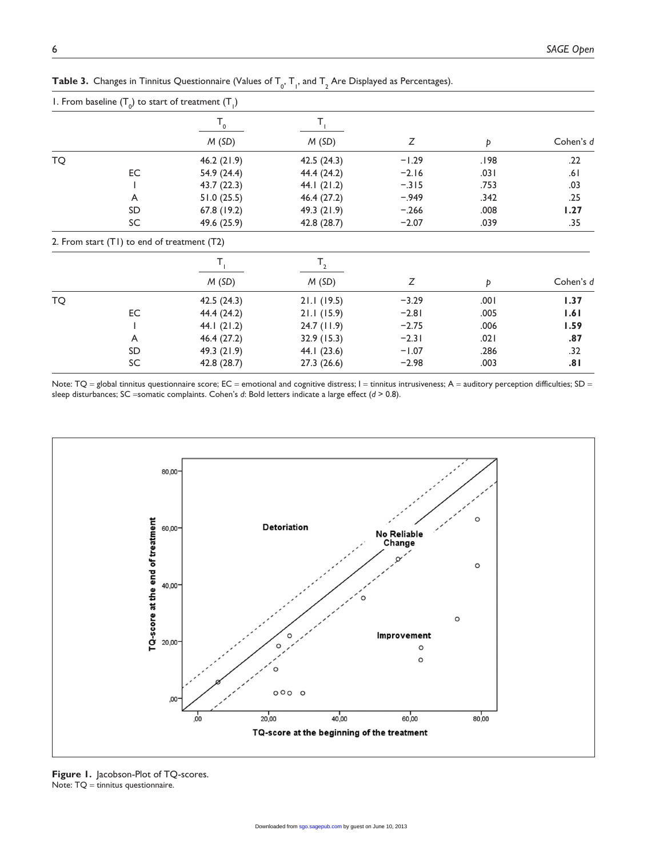| 1. From baseline $(T_0)$ to start of treatment $(T_1)$ |                                             |               |               |         |      |           |  |  |  |
|--------------------------------------------------------|---------------------------------------------|---------------|---------------|---------|------|-----------|--|--|--|
|                                                        |                                             | $T_{0}$       | T,            |         |      |           |  |  |  |
|                                                        |                                             | M(SD)         | M(SD)         | Ζ       | Þ    | Cohen's d |  |  |  |
| TQ                                                     |                                             | 46.2(21.9)    | 42.5 (24.3)   | $-1.29$ | .198 | .22       |  |  |  |
|                                                        | EC                                          | 54.9 (24.4)   | 44.4 (24.2)   | $-2.16$ | .031 | .61       |  |  |  |
|                                                        |                                             | 43.7 (22.3)   | 44.1 $(21.2)$ | $-.315$ | .753 | .03       |  |  |  |
|                                                        | A                                           | 51.0(25.5)    | 46.4 (27.2)   | $-.949$ | .342 | .25       |  |  |  |
|                                                        | SD                                          | 67.8 (19.2)   | 49.3 (21.9)   | $-.266$ | .008 | 1.27      |  |  |  |
|                                                        | SC                                          | 49.6 (25.9)   | 42.8 (28.7)   | $-2.07$ | .039 | .35       |  |  |  |
|                                                        | 2. From start (T1) to end of treatment (T2) |               |               |         |      |           |  |  |  |
|                                                        |                                             | Т             | $T_{2}$       |         |      |           |  |  |  |
|                                                        |                                             | M(SD)         | M(SD)         | Ζ       | Þ    | Cohen's d |  |  |  |
| TQ                                                     |                                             | 42.5 (24.3)   | 21.1(19.5)    | $-3.29$ | .001 | 1.37      |  |  |  |
|                                                        | EC                                          | 44.4 (24.2)   | 21.1(15.9)    | $-2.81$ | .005 | 1.61      |  |  |  |
|                                                        |                                             | 44.1 $(21.2)$ | 24.7(11.9)    | $-2.75$ | .006 | 1.59      |  |  |  |
|                                                        | A                                           | 46.4 (27.2)   | 32.9(15.3)    | $-2.31$ | .021 | .87       |  |  |  |
|                                                        | SD                                          | 49.3 (21.9)   | 44.1 (23.6)   | $-1.07$ | .286 | .32       |  |  |  |
|                                                        | SC                                          | 42.8 (28.7)   | 27.3 (26.6)   | $-2.98$ | .003 | .81       |  |  |  |

**Table 3.** Changes in Tinnitus Questionnaire (Values of  $T_{_0}, T_{_1}$ , and  $T_{_2}$  Are Displayed as Percentages).

Note:  $TQ =$  global tinnitus questionnaire score;  $EC =$  emotional and cognitive distress;  $I =$  tinnitus intrusiveness;  $A =$  auditory perception difficulties;  $SD =$ sleep disturbances; SC =somatic complaints. Cohen's *d*: Bold letters indicate a large effect (*d* > 0.8).



**Figure 1.** Jacobson-Plot of TQ-scores. Note: TQ = tinnitus questionnaire.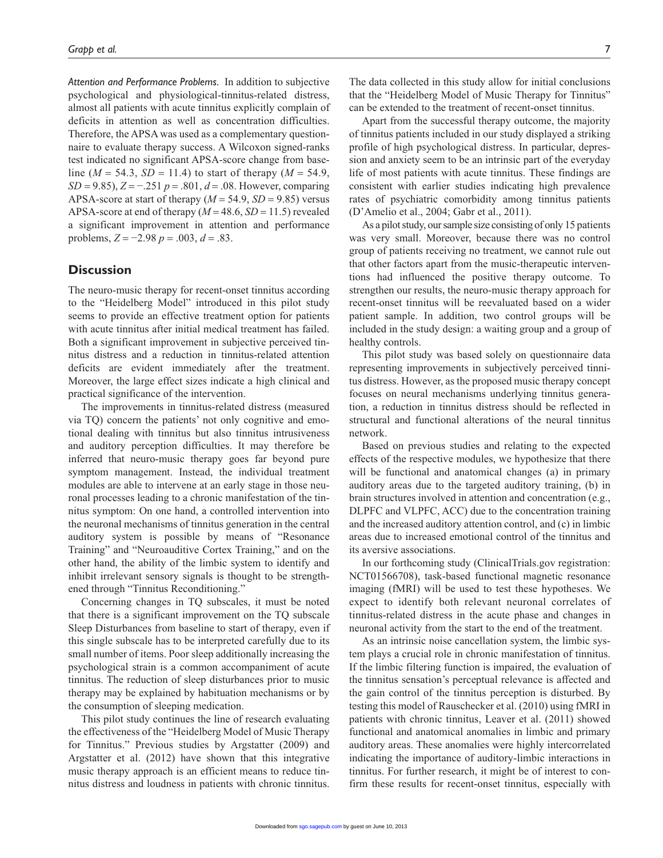*Attention and Performance Problems.* In addition to subjective psychological and physiological-tinnitus-related distress, almost all patients with acute tinnitus explicitly complain of deficits in attention as well as concentration difficulties. Therefore, the APSA was used as a complementary questionnaire to evaluate therapy success. A Wilcoxon signed-ranks test indicated no significant APSA-score change from baseline ( $M = 54.3$ ,  $SD = 11.4$ ) to start of therapy ( $M = 54.9$ , *SD* = 9.85), *Z* = −.251 *p* = .801, *d* = .08. However, comparing APSA-score at start of therapy  $(M = 54.9, SD = 9.85)$  versus APSA-score at end of therapy (*M* = 48.6, *SD* = 11.5) revealed a significant improvement in attention and performance problems, *Z* = −2.98 *p* = .003, *d* = .83.

# **Discussion**

The neuro-music therapy for recent-onset tinnitus according to the "Heidelberg Model" introduced in this pilot study seems to provide an effective treatment option for patients with acute tinnitus after initial medical treatment has failed. Both a significant improvement in subjective perceived tinnitus distress and a reduction in tinnitus-related attention deficits are evident immediately after the treatment. Moreover, the large effect sizes indicate a high clinical and practical significance of the intervention.

The improvements in tinnitus-related distress (measured via TQ) concern the patients' not only cognitive and emotional dealing with tinnitus but also tinnitus intrusiveness and auditory perception difficulties. It may therefore be inferred that neuro-music therapy goes far beyond pure symptom management. Instead, the individual treatment modules are able to intervene at an early stage in those neuronal processes leading to a chronic manifestation of the tinnitus symptom: On one hand, a controlled intervention into the neuronal mechanisms of tinnitus generation in the central auditory system is possible by means of "Resonance Training" and "Neuroauditive Cortex Training," and on the other hand, the ability of the limbic system to identify and inhibit irrelevant sensory signals is thought to be strengthened through "Tinnitus Reconditioning."

Concerning changes in TQ subscales, it must be noted that there is a significant improvement on the TQ subscale Sleep Disturbances from baseline to start of therapy, even if this single subscale has to be interpreted carefully due to its small number of items. Poor sleep additionally increasing the psychological strain is a common accompaniment of acute tinnitus. The reduction of sleep disturbances prior to music therapy may be explained by habituation mechanisms or by the consumption of sleeping medication.

This pilot study continues the line of research evaluating the effectiveness of the "Heidelberg Model of Music Therapy for Tinnitus." Previous studies by Argstatter (2009) and Argstatter et al. (2012) have shown that this integrative music therapy approach is an efficient means to reduce tinnitus distress and loudness in patients with chronic tinnitus.

The data collected in this study allow for initial conclusions that the "Heidelberg Model of Music Therapy for Tinnitus" can be extended to the treatment of recent-onset tinnitus.

Apart from the successful therapy outcome, the majority of tinnitus patients included in our study displayed a striking profile of high psychological distress. In particular, depression and anxiety seem to be an intrinsic part of the everyday life of most patients with acute tinnitus. These findings are consistent with earlier studies indicating high prevalence rates of psychiatric comorbidity among tinnitus patients (D'Amelio et al., 2004; Gabr et al., 2011).

As a pilot study, our sample size consisting of only 15 patients was very small. Moreover, because there was no control group of patients receiving no treatment, we cannot rule out that other factors apart from the music-therapeutic interventions had influenced the positive therapy outcome. To strengthen our results, the neuro-music therapy approach for recent-onset tinnitus will be reevaluated based on a wider patient sample. In addition, two control groups will be included in the study design: a waiting group and a group of healthy controls.

This pilot study was based solely on questionnaire data representing improvements in subjectively perceived tinnitus distress. However, as the proposed music therapy concept focuses on neural mechanisms underlying tinnitus generation, a reduction in tinnitus distress should be reflected in structural and functional alterations of the neural tinnitus network.

Based on previous studies and relating to the expected effects of the respective modules, we hypothesize that there will be functional and anatomical changes (a) in primary auditory areas due to the targeted auditory training, (b) in brain structures involved in attention and concentration (e.g., DLPFC and VLPFC, ACC) due to the concentration training and the increased auditory attention control, and (c) in limbic areas due to increased emotional control of the tinnitus and its aversive associations.

In our forthcoming study (ClinicalTrials.gov registration: NCT01566708), task-based functional magnetic resonance imaging (fMRI) will be used to test these hypotheses. We expect to identify both relevant neuronal correlates of tinnitus-related distress in the acute phase and changes in neuronal activity from the start to the end of the treatment.

As an intrinsic noise cancellation system, the limbic system plays a crucial role in chronic manifestation of tinnitus. If the limbic filtering function is impaired, the evaluation of the tinnitus sensation's perceptual relevance is affected and the gain control of the tinnitus perception is disturbed. By testing this model of Rauschecker et al. (2010) using fMRI in patients with chronic tinnitus, Leaver et al. (2011) showed functional and anatomical anomalies in limbic and primary auditory areas. These anomalies were highly intercorrelated indicating the importance of auditory-limbic interactions in tinnitus. For further research, it might be of interest to confirm these results for recent-onset tinnitus, especially with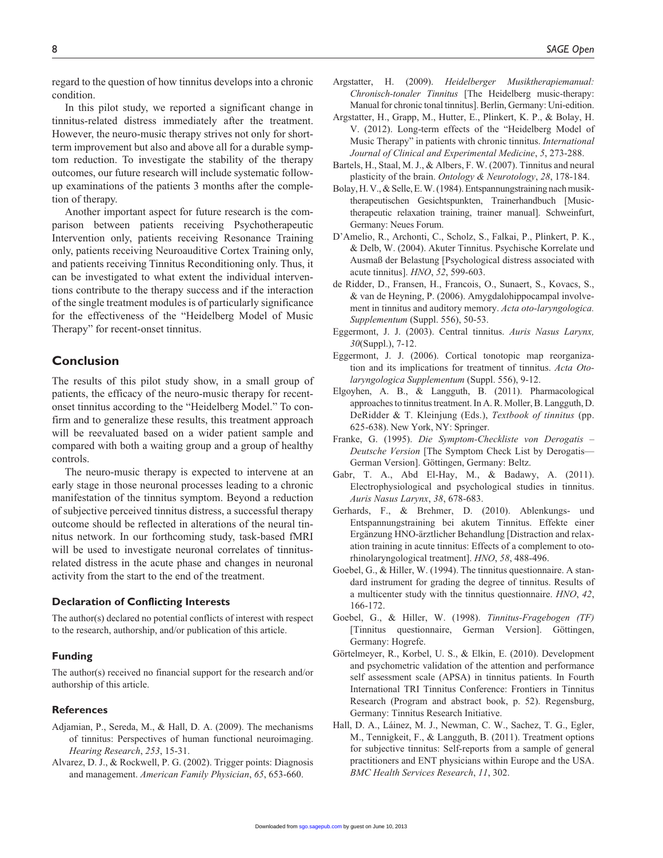regard to the question of how tinnitus develops into a chronic condition.

In this pilot study, we reported a significant change in tinnitus-related distress immediately after the treatment. However, the neuro-music therapy strives not only for shortterm improvement but also and above all for a durable symptom reduction. To investigate the stability of the therapy outcomes, our future research will include systematic followup examinations of the patients 3 months after the completion of therapy.

Another important aspect for future research is the comparison between patients receiving Psychotherapeutic Intervention only, patients receiving Resonance Training only, patients receiving Neuroauditive Cortex Training only, and patients receiving Tinnitus Reconditioning only. Thus, it can be investigated to what extent the individual interventions contribute to the therapy success and if the interaction of the single treatment modules is of particularly significance for the effectiveness of the "Heidelberg Model of Music Therapy" for recent-onset tinnitus.

# **Conclusion**

The results of this pilot study show, in a small group of patients, the efficacy of the neuro-music therapy for recentonset tinnitus according to the "Heidelberg Model." To confirm and to generalize these results, this treatment approach will be reevaluated based on a wider patient sample and compared with both a waiting group and a group of healthy controls.

The neuro-music therapy is expected to intervene at an early stage in those neuronal processes leading to a chronic manifestation of the tinnitus symptom. Beyond a reduction of subjective perceived tinnitus distress, a successful therapy outcome should be reflected in alterations of the neural tinnitus network. In our forthcoming study, task-based fMRI will be used to investigate neuronal correlates of tinnitusrelated distress in the acute phase and changes in neuronal activity from the start to the end of the treatment.

#### **Declaration of Conflicting Interests**

The author(s) declared no potential conflicts of interest with respect to the research, authorship, and/or publication of this article.

#### **Funding**

The author(s) received no financial support for the research and/or authorship of this article.

#### **References**

- Adjamian, P., Sereda, M., & Hall, D. A. (2009). The mechanisms of tinnitus: Perspectives of human functional neuroimaging. *Hearing Research*, *253*, 15-31.
- Alvarez, D. J., & Rockwell, P. G. (2002). Trigger points: Diagnosis and management. *American Family Physician*, *65*, 653-660.
- Argstatter, H. (2009). *Heidelberger Musiktherapiemanual: Chronisch-tonaler Tinnitus* [The Heidelberg music-therapy: Manual for chronic tonal tinnitus]. Berlin, Germany: Uni-edition.
- Argstatter, H., Grapp, M., Hutter, E., Plinkert, K. P., & Bolay, H. V. (2012). Long-term effects of the "Heidelberg Model of Music Therapy" in patients with chronic tinnitus. *International Journal of Clinical and Experimental Medicine*, *5*, 273-288.
- Bartels, H., Staal, M. J., & Albers, F. W. (2007). Tinnitus and neural plasticity of the brain. *Ontology & Neurotology*, *28*, 178-184.
- Bolay, H. V., & Selle, E. W. (1984). Entspannungstraining nach musiktherapeutischen Gesichtspunkten, Trainerhandbuch [Musictherapeutic relaxation training, trainer manual]. Schweinfurt, Germany: Neues Forum.
- D'Amelio, R., Archonti, C., Scholz, S., Falkai, P., Plinkert, P. K., & Delb, W. (2004). Akuter Tinnitus. Psychische Korrelate und Ausmaß der Belastung [Psychological distress associated with acute tinnitus]. *HNO*, *52*, 599-603.
- de Ridder, D., Fransen, H., Francois, O., Sunaert, S., Kovacs, S., & van de Heyning, P. (2006). Amygdalohippocampal involvement in tinnitus and auditory memory. *Acta oto-laryngologica. Supplementum* (Suppl. 556), 50-53.
- Eggermont, J. J. (2003). Central tinnitus. *Auris Nasus Larynx, 30*(Suppl.), 7-12.
- Eggermont, J. J. (2006). Cortical tonotopic map reorganization and its implications for treatment of tinnitus. *Acta Otolaryngologica Supplementum* (Suppl. 556), 9-12.
- Elgoyhen, A. B., & Langguth, B. (2011). Pharmacological approaches to tinnitus treatment. In A. R. Moller, B. Langguth, D. DeRidder & T. Kleinjung (Eds.), *Textbook of tinnitus* (pp. 625-638). New York, NY: Springer.
- Franke, G. (1995). *Die Symptom-Checkliste von Derogatis Deutsche Version* [The Symptom Check List by Derogatis— German Version]. Göttingen, Germany: Beltz.
- Gabr, T. A., Abd El-Hay, M., & Badawy, A. (2011). Electrophysiological and psychological studies in tinnitus. *Auris Nasus Larynx*, *38*, 678-683.
- Gerhards, F., & Brehmer, D. (2010). Ablenkungs- und Entspannungstraining bei akutem Tinnitus. Effekte einer Ergänzung HNO-ärztlicher Behandlung [Distraction and relaxation training in acute tinnitus: Effects of a complement to otorhinolaryngological treatment]. *HNO*, *58*, 488-496.
- Goebel, G., & Hiller, W. (1994). The tinnitus questionnaire. A standard instrument for grading the degree of tinnitus. Results of a multicenter study with the tinnitus questionnaire. *HNO*, *42*, 166-172.
- Goebel, G., & Hiller, W. (1998). *Tinnitus-Fragebogen (TF)* [Tinnitus questionnaire, German Version]. Göttingen, Germany: Hogrefe.
- Görtelmeyer, R., Korbel, U. S., & Elkin, E. (2010). Development and psychometric validation of the attention and performance self assessment scale (APSA) in tinnitus patients. In Fourth International TRI Tinnitus Conference: Frontiers in Tinnitus Research (Program and abstract book, p. 52). Regensburg, Germany: Tinnitus Research Initiative.
- Hall, D. A., Láinez, M. J., Newman, C. W., Sachez, T. G., Egler, M., Tennigkeit, F., & Langguth, B. (2011). Treatment options for subjective tinnitus: Self-reports from a sample of general practitioners and ENT physicians within Europe and the USA. *BMC Health Services Research*, *11*, 302.